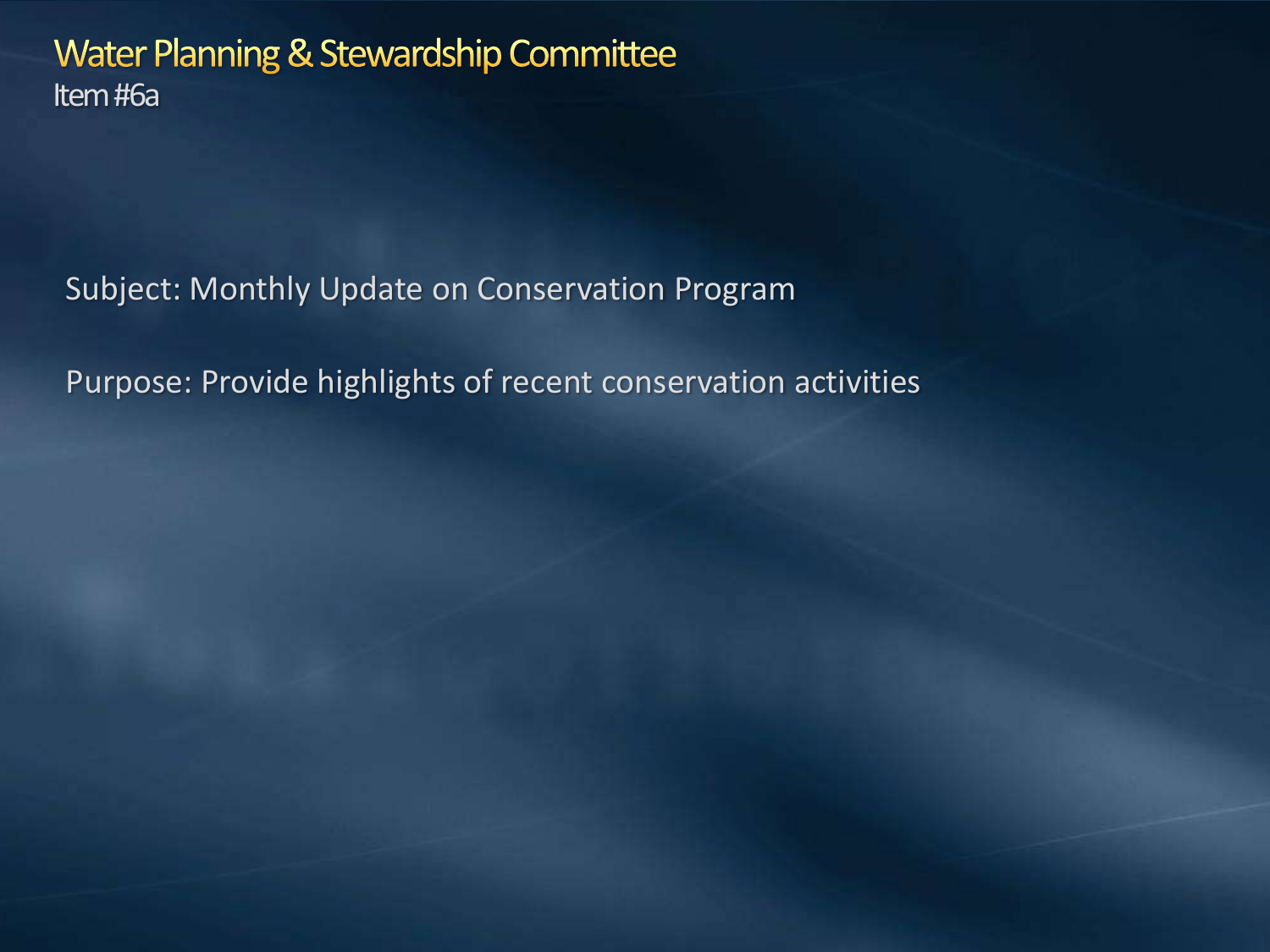Water Planning & Stewardship Committee Item #6a

Subject: Monthly Update on Conservation Program

Purpose: Provide highlights of recent conservation activities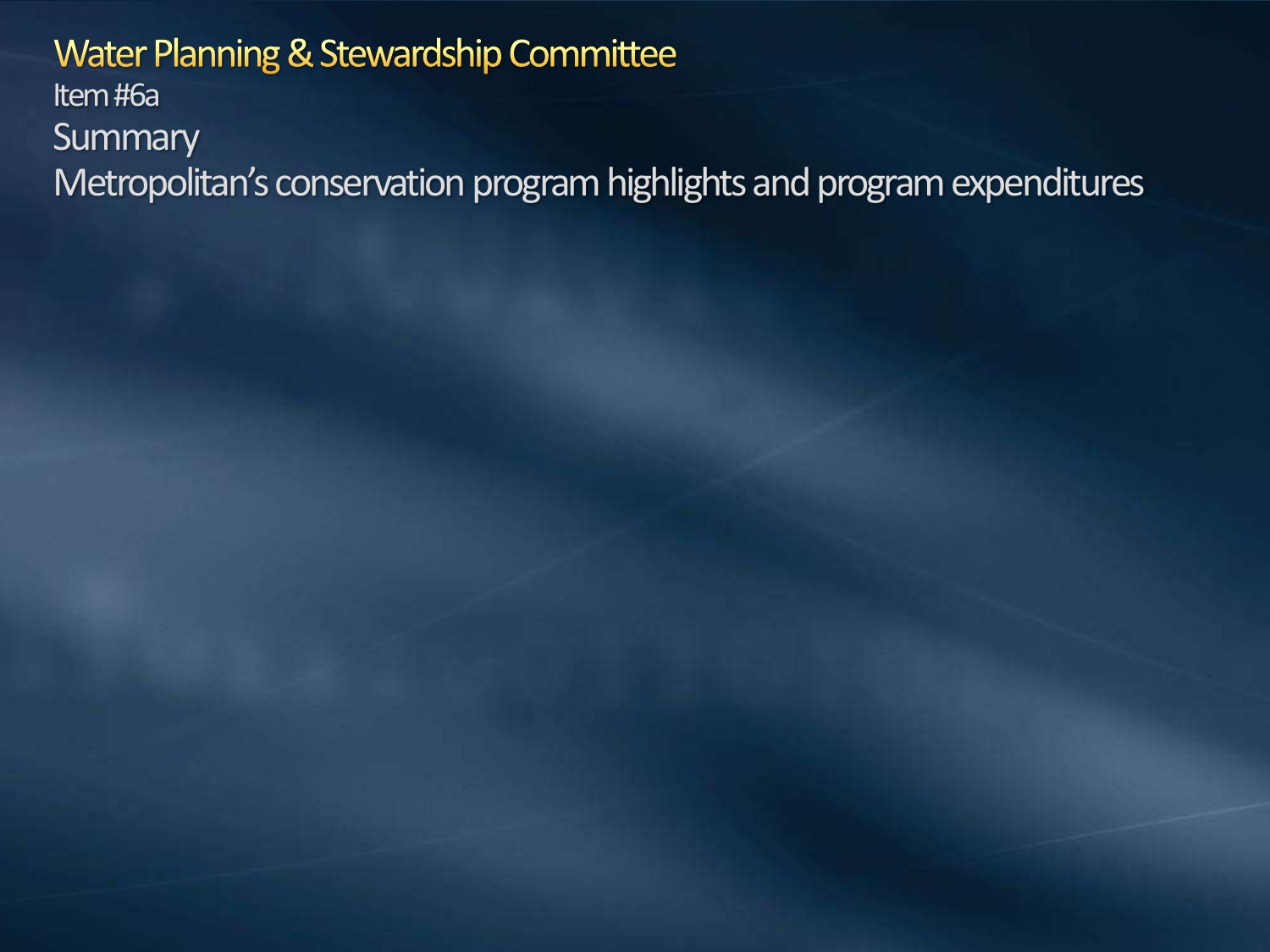#### Water Planning & Stewardship Committee Item #6a **Summary** Metropolitan's conservation program highlights and programexpenditures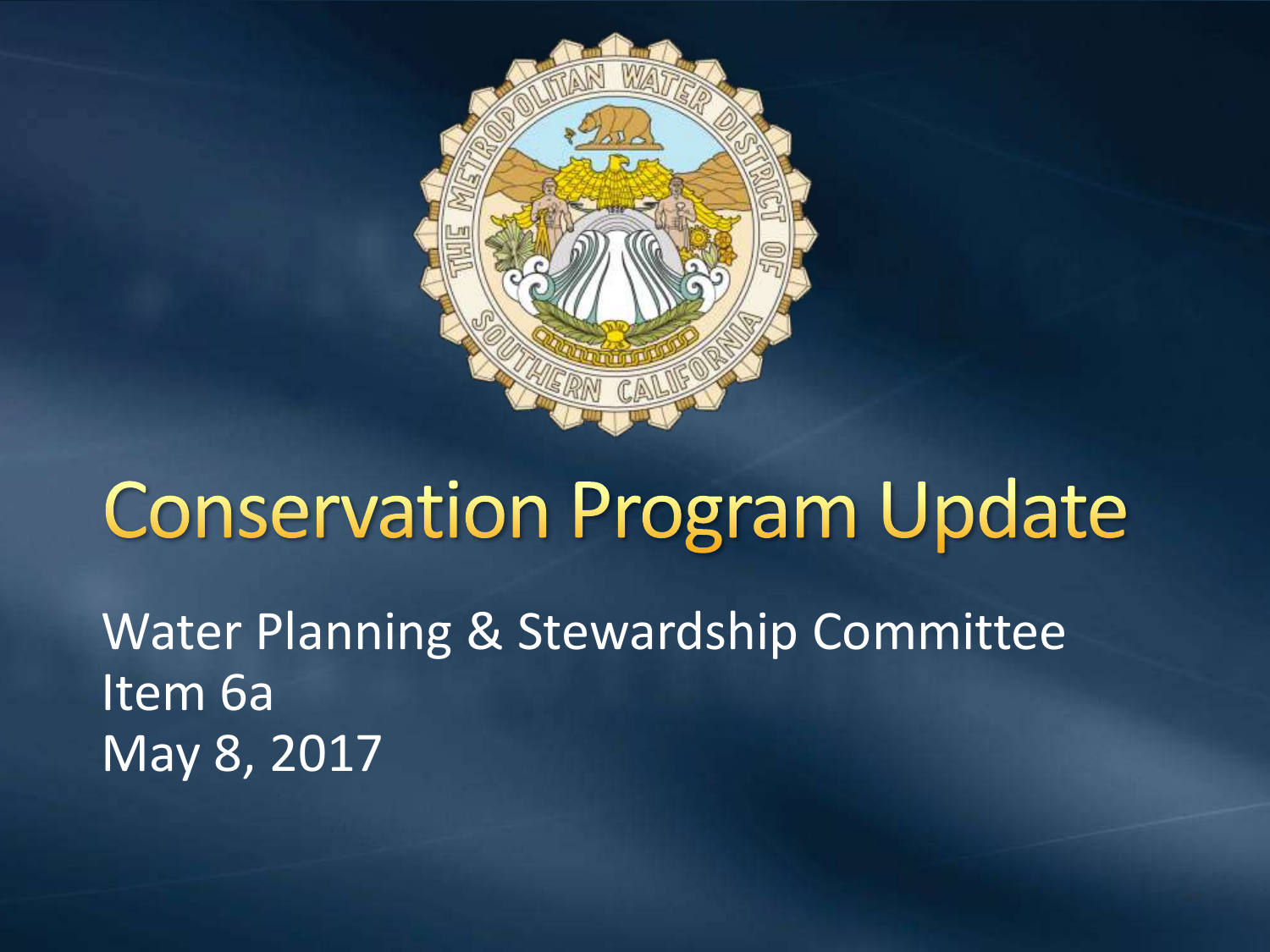

## **Conservation Program Update**

Water Planning & Stewardship Committee Item 6a May 8, 2017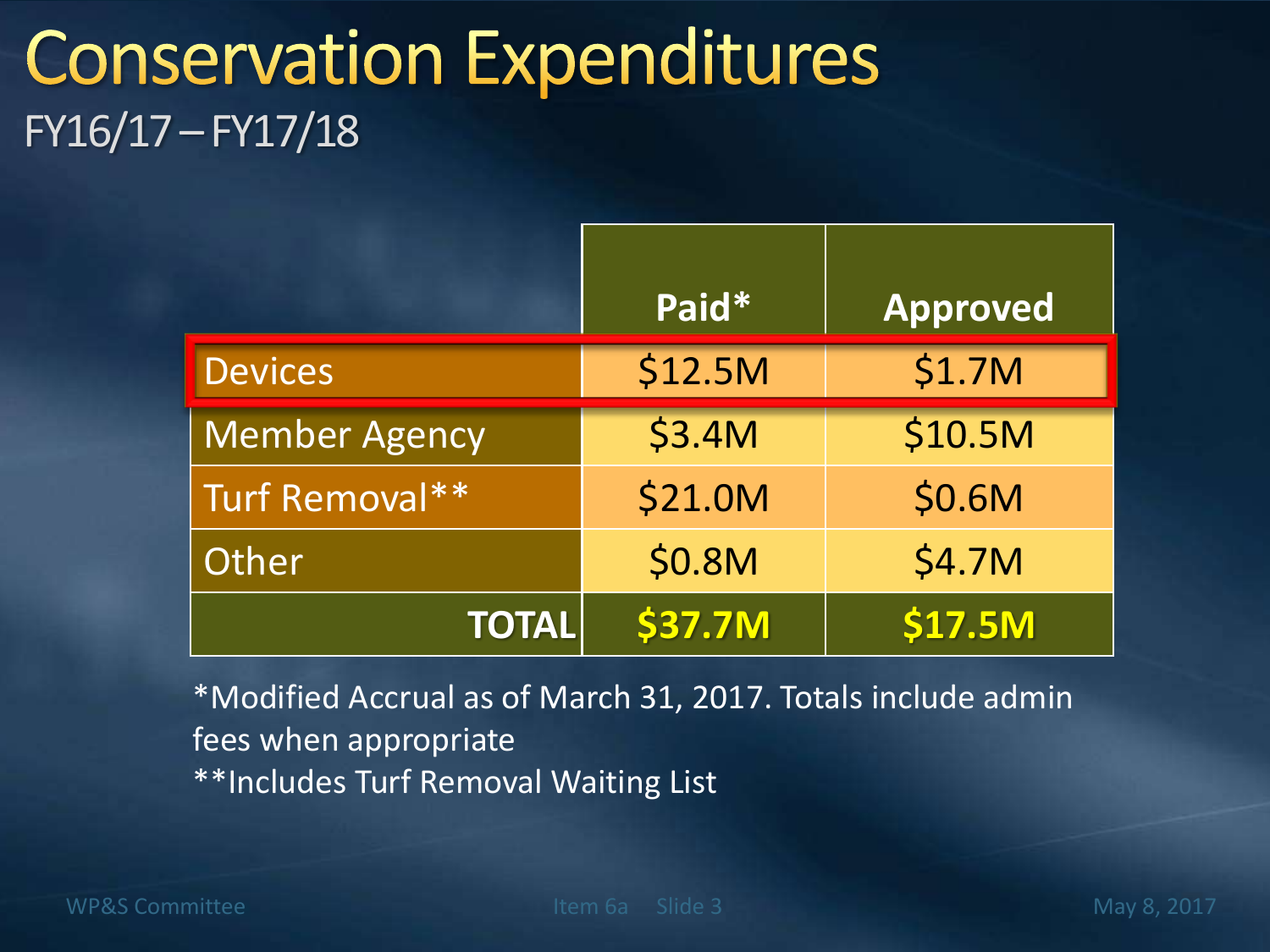### **Conservation Expenditures** FY16/17 –FY17/18

|                      | Paid*   | <b>Approved</b> |
|----------------------|---------|-----------------|
| <b>Devices</b>       | \$12.5M | \$1.7M          |
| <b>Member Agency</b> | \$3.4M  | \$10.5M         |
| Turf Removal**       | \$21.0M | \$0.6M          |
| Other                | \$0.8M  | \$4.7M          |
| <b>TOTAL</b>         | \$37.7M | <b>\$17.5M</b>  |

\*Modified Accrual as of March 31, 2017. Totals include admin fees when appropriate \*\*Includes Turf Removal Waiting List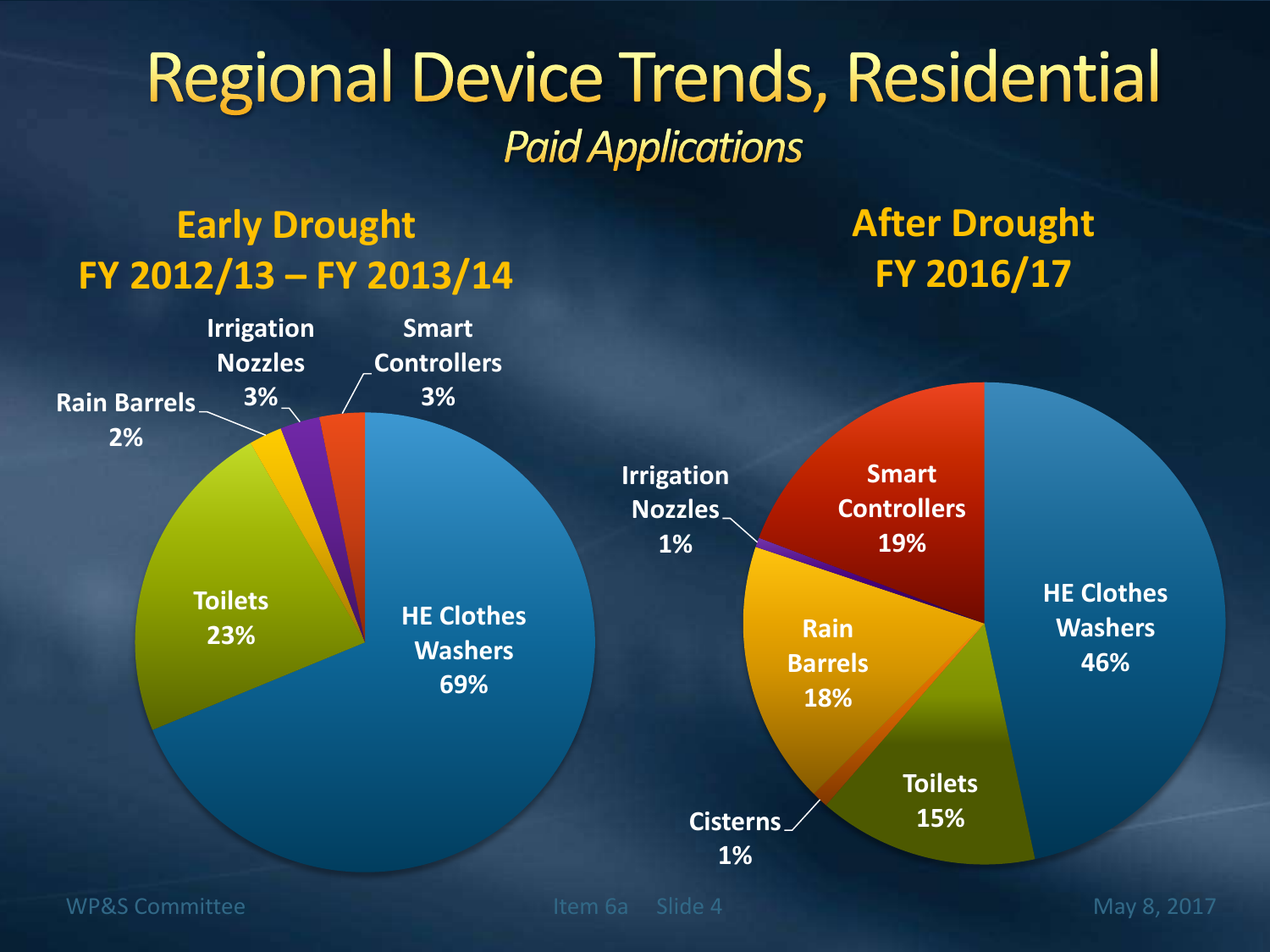### **Regional Device Trends, Residential Paid Applications**

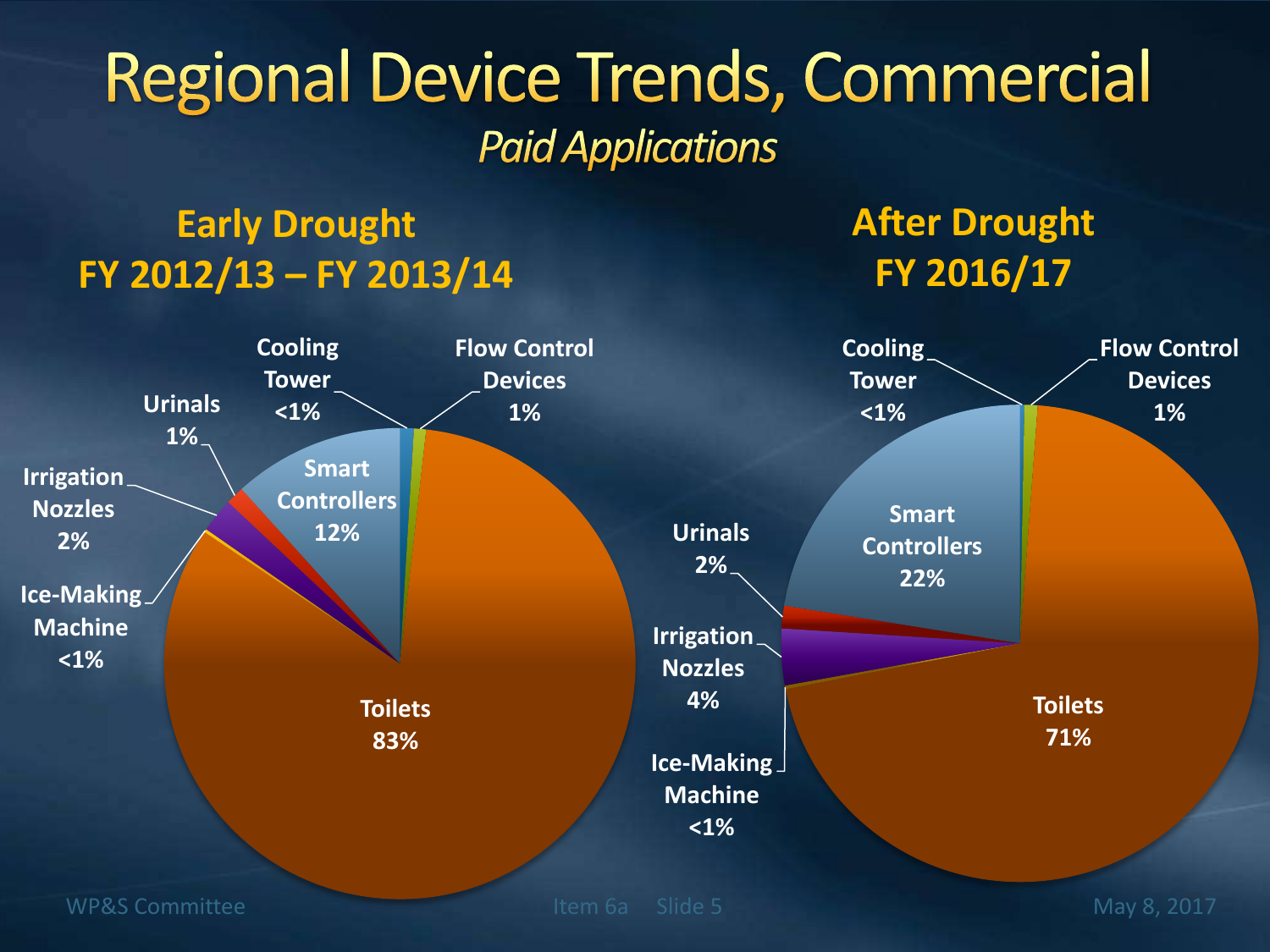### **Regional Device Trends, Commercial Paid Applications**

#### **Early Drought FY 2012/13 – FY 2013/14**

#### **After Drought FY 2016/17**

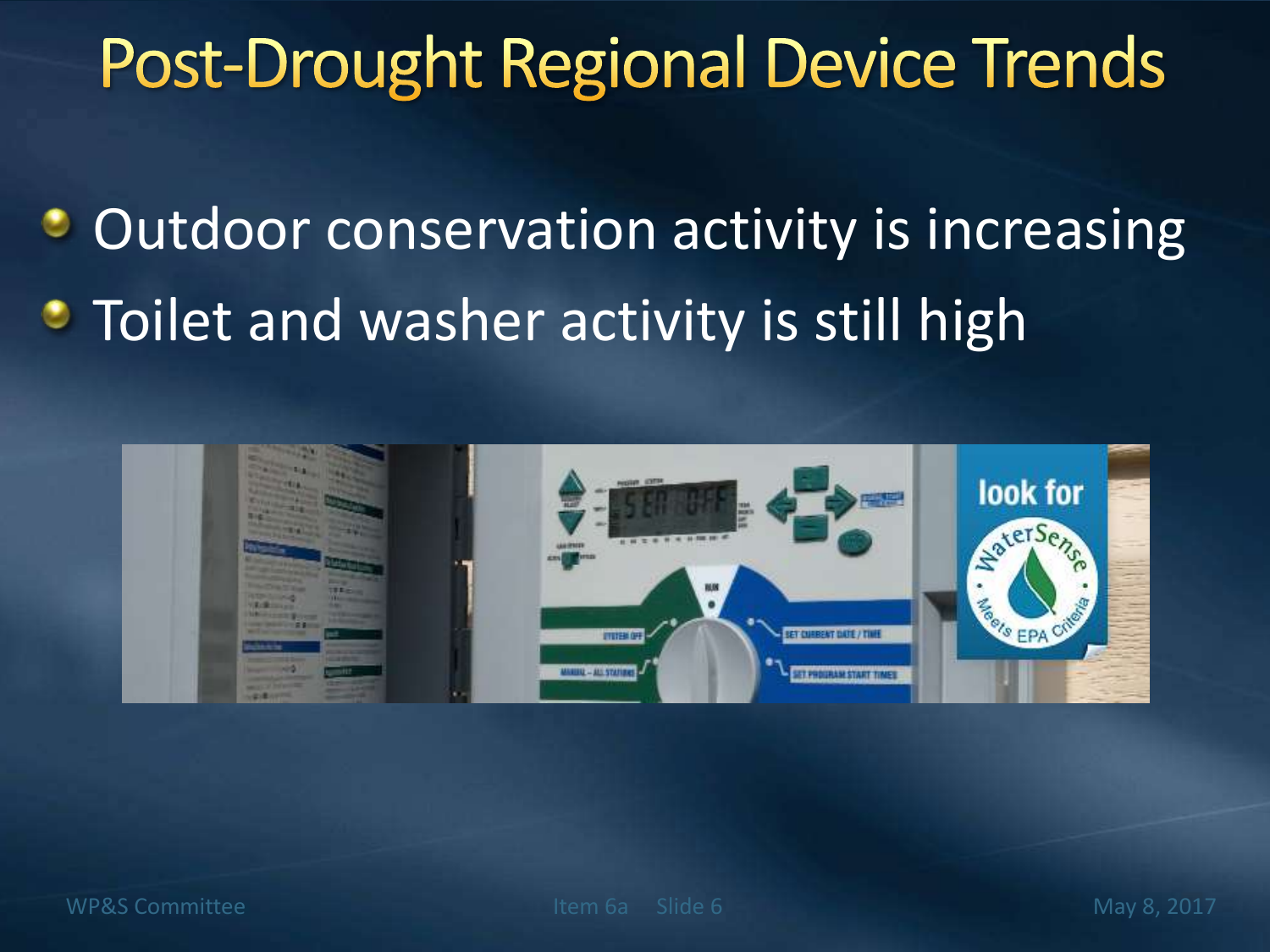## **Post-Drought Regional Device Trends**

Outdoor conservation activity is increasing • Toilet and washer activity is still high

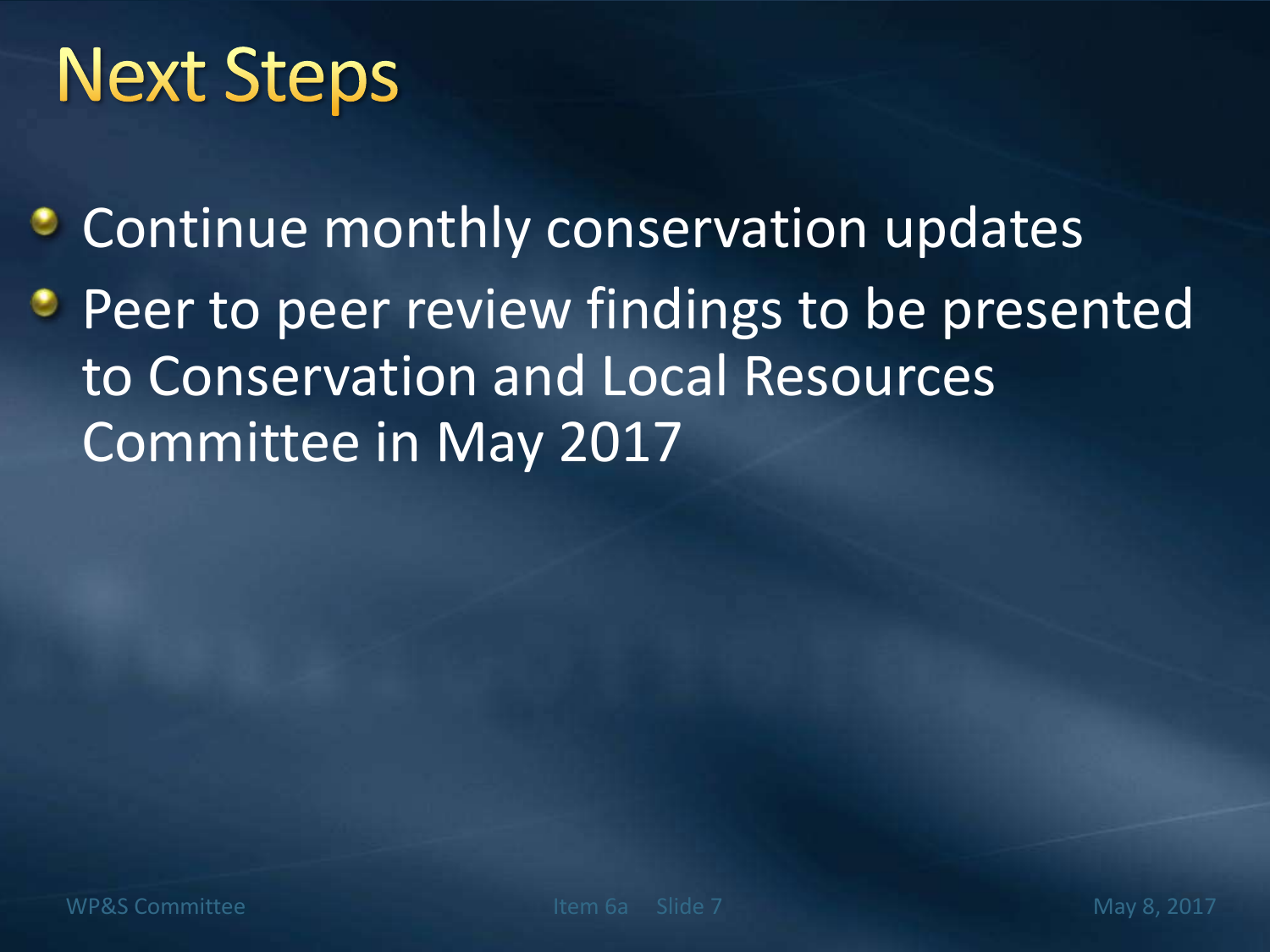# **Next Steps**

- **Continue monthly conservation updates**
- **Peer to peer review findings to be presented** to Conservation and Local Resources Committee in May 2017